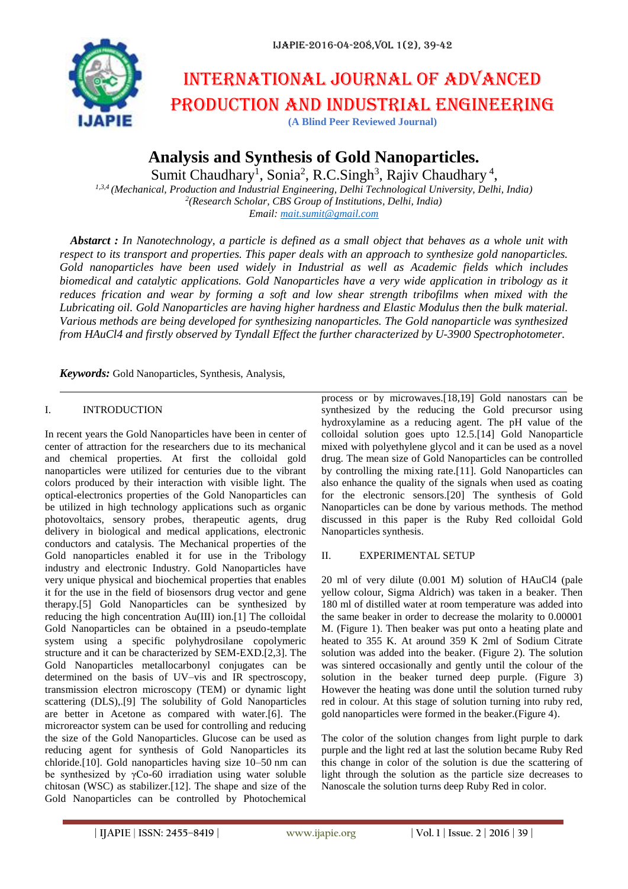

# International journal of advanced production and industrial engineering

**(A Blind Peer Reviewed Journal)**

**Analysis and Synthesis of Gold Nanoparticles.**

Sumit Chaudhary<sup>1</sup>, Sonia<sup>2</sup>, R.C.Singh<sup>3</sup>, Rajiv Chaudhary<sup>4</sup>,

*1,3,4 (Mechanical, Production and Industrial Engineering, Delhi Technological University, Delhi, India) 2 (Research Scholar, CBS Group of Institutions, Delhi, India) Email: [mait.sumit@gmail.com](mailto:mait.sumit@gmail.com)*

*Abstarct : In Nanotechnology, a particle is defined as a small object that behaves as a whole unit with respect to its transport and properties. This paper deals with an approach to synthesize gold nanoparticles. Gold nanoparticles have been used widely in Industrial as well as Academic fields which includes biomedical and catalytic applications. Gold Nanoparticles have a very wide application in tribology as it reduces frication and wear by forming a soft and low shear strength tribofilms when mixed with the Lubricating oil. Gold Nanoparticles are having higher hardness and Elastic Modulus then the bulk material. Various methods are being developed for synthesizing nanoparticles. The Gold nanoparticle was synthesized from HAuCl4 and firstly observed by Tyndall Effect the further characterized by U-3900 Spectrophotometer.*

*Keywords:* Gold Nanoparticles, Synthesis, Analysis,

## I. INTRODUCTION

In recent years the Gold Nanoparticles have been in center of center of attraction for the researchers due to its mechanical and chemical properties. At first the colloidal gold nanoparticles were utilized for centuries due to the vibrant colors produced by their interaction with visible light. The optical-electronics properties of the Gold Nanoparticles can be utilized in high technology applications such as organic photovoltaics, sensory probes, therapeutic agents, drug delivery in biological and medical applications, electronic conductors and catalysis. The Mechanical properties of the Gold nanoparticles enabled it for use in the Tribology industry and electronic Industry. Gold Nanoparticles have very unique physical and biochemical properties that enables it for the use in the field of biosensors drug vector and gene therapy.[5] Gold Nanoparticles can be synthesized by reducing the high concentration Au(III) ion.[1] The colloidal Gold Nanoparticles can be obtained in a pseudo-template system using a specific polyhydrosilane copolymeric structure and it can be characterized by SEM-EXD.[2,3]. The Gold Nanoparticles metallocarbonyl conjugates can be determined on the basis of UV–vis and IR spectroscopy, transmission electron microscopy (TEM) or dynamic light scattering (DLS),.[9] The solubility of Gold Nanoparticles are better in Acetone as compared with water.[6]. The microreactor system can be used for controlling and reducing the size of the Gold Nanoparticles. Glucose can be used as reducing agent for synthesis of Gold Nanoparticles its chloride.[10]. Gold nanoparticles having size 10–50 nm can be synthesized by γCo-60 irradiation using water soluble chitosan (WSC) as stabilizer.[12]. The shape and size of the Gold Nanoparticles can be controlled by Photochemical

process or by microwaves.[18,19] Gold nanostars can be synthesized by the reducing the Gold precursor using hydroxylamine as a reducing agent. The pH value of the colloidal solution goes upto 12.5.[14] Gold Nanoparticle mixed with polyethylene glycol and it can be used as a novel drug. The mean size of Gold Nanoparticles can be controlled by controlling the mixing rate.[11]. Gold Nanoparticles can also enhance the quality of the signals when used as coating for the electronic sensors.[20] The synthesis of Gold Nanoparticles can be done by various methods. The method discussed in this paper is the Ruby Red colloidal Gold Nanoparticles synthesis.

## II. EXPERIMENTAL SETUP

20 ml of very dilute (0.001 M) solution of HAuCl4 (pale yellow colour, Sigma Aldrich) was taken in a beaker. Then 180 ml of distilled water at room temperature was added into the same beaker in order to decrease the molarity to 0.00001 M. (Figure 1). Then beaker was put onto a heating plate and heated to 355 K. At around 359 K 2ml of Sodium Citrate solution was added into the beaker. (Figure 2). The solution was sintered occasionally and gently until the colour of the solution in the beaker turned deep purple. (Figure 3) However the heating was done until the solution turned ruby red in colour. At this stage of solution turning into ruby red, gold nanoparticles were formed in the beaker.(Figure 4).

The color of the solution changes from light purple to dark purple and the light red at last the solution became Ruby Red this change in color of the solution is due the scattering of light through the solution as the particle size decreases to Nanoscale the solution turns deep Ruby Red in color.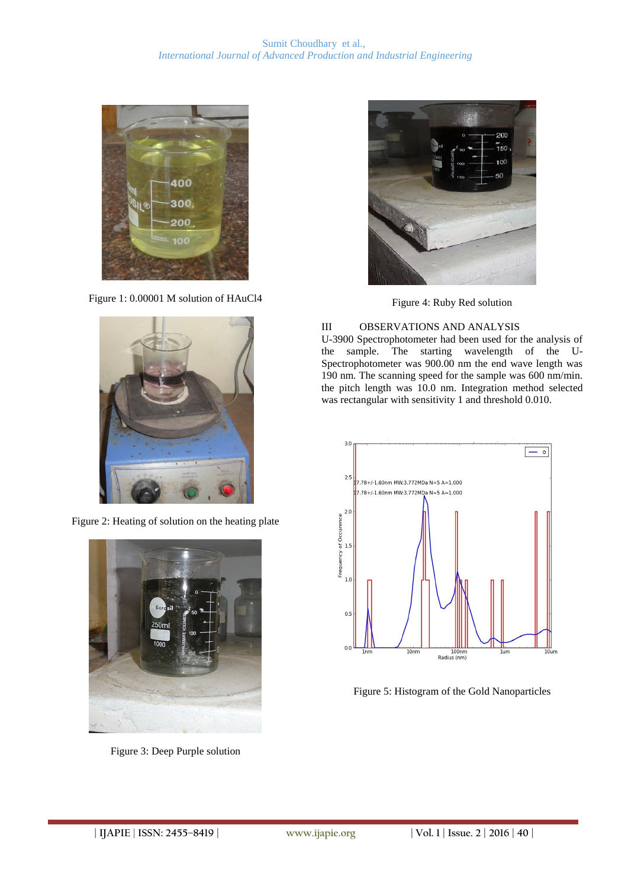

Figure 1: 0.00001 M solution of HAuCl4



Figure 2: Heating of solution on the heating plate



Figure 3: Deep Purple solution



Figure 4: Ruby Red solution

# III OBSERVATIONS AND ANALYSIS

U-3900 Spectrophotometer had been used for the analysis of the sample. The starting wavelength of the U-Spectrophotometer was 900.00 nm the end wave length was 190 nm. The scanning speed for the sample was 600 nm/min. the pitch length was 10.0 nm. Integration method selected was rectangular with sensitivity 1 and threshold 0.010.



Figure 5: Histogram of the Gold Nanoparticles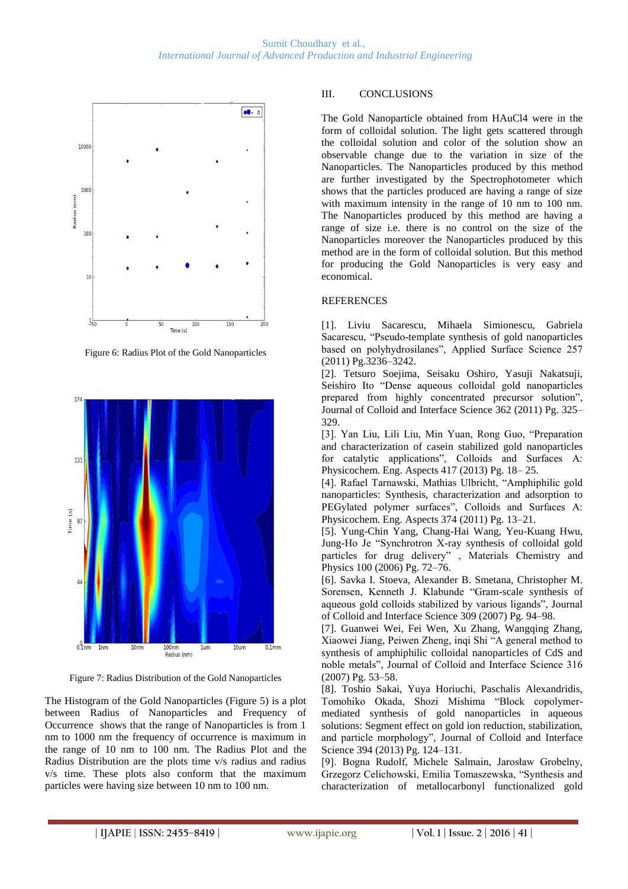

Figure 6: Radius Plot of the Gold Nanoparticles



Figure 7: Radius Distribution of the Gold Nanoparticles

The Histogram of the Gold Nanoparticles (Figure 5) is a plot between Radius of Nanoparticles and Frequency of Occurrence shows that the range of Nanoparticles is from 1 nm to 1000 nm the frequency of occurrence is maximum in the range of 10 nm to 100 nm. The Radius Plot and the Radius Distribution are the plots time v/s radius and radius v/s time. These plots also conform that the maximum particles were having size between 10 nm to 100 nm.

# III. CONCLUSIONS

The Gold Nanoparticle obtained from HAuCl4 were in the form of colloidal solution. The light gets scattered through the colloidal solution and color of the solution show an observable change due to the variation in size of the Nanoparticles. The Nanoparticles produced by this method are further investigated by the Spectrophotometer which shows that the particles produced are having a range of size with maximum intensity in the range of 10 nm to 100 nm. The Nanoparticles produced by this method are having a range of size i.e. there is no control on the size of the Nanoparticles moreover the Nanoparticles produced by this method are in the form of colloidal solution. But this method for producing the Gold Nanoparticles is very easy and economical.

## **REFERENCES**

[1]. Liviu Sacarescu, Mihaela Simionescu, Gabriela Sacarescu, "Pseudo-template synthesis of gold nanoparticles based on polyhydrosilanes", Applied Surface Science 257 (2011) Pg.3236–3242.

[2]. Tetsuro Soejima, Seisaku Oshiro, Yasuji Nakatsuji, Seishiro Ito "Dense aqueous colloidal gold nanoparticles prepared from highly concentrated precursor solution", Journal of Colloid and Interface Science 362 (2011) Pg. 325– 329.

[3]. Yan Liu, Lili Liu, Min Yuan, Rong Guo, "Preparation and characterization of casein stabilized gold nanoparticles for catalytic applications", Colloids and Surfaces A: Physicochem. Eng. Aspects 417 (2013) Pg. 18– 25.

[4]. Rafael Tarnawski, Mathias Ulbricht, "Amphiphilic gold nanoparticles: Synthesis, characterization and adsorption to PEGylated polymer surfaces", Colloids and Surfaces A: Physicochem. Eng. Aspects 374 (2011) Pg. 13–21.

[5]. Yung-Chin Yang, Chang-Hai Wang, Yeu-Kuang Hwu, Jung-Ho Je "Synchrotron X-ray synthesis of colloidal gold particles for drug delivery" , Materials Chemistry and Physics 100 (2006) Pg. 72–76.

[6]. Savka I. Stoeva, Alexander B. Smetana, Christopher M. Sorensen, Kenneth J. Klabunde "Gram-scale synthesis of aqueous gold colloids stabilized by various ligands", Journal of Colloid and Interface Science 309 (2007) Pg. 94–98.

[7]. Guanwei Wei, Fei Wen, Xu Zhang, Wangqing Zhang, Xiaowei Jiang, Peiwen Zheng, inqi Shi "A general method to synthesis of amphiphilic colloidal nanoparticles of CdS and noble metals", Journal of Colloid and Interface Science 316 (2007) Pg. 53–58.

[8]. Toshio Sakai, Yuya Horiuchi, Paschalis Alexandridis, Tomohiko Okada, Shozi Mishima "Block copolymermediated synthesis of gold nanoparticles in aqueous solutions: Segment effect on gold ion reduction, stabilization, and particle morphology", Journal of Colloid and Interface Science 394 (2013) Pg. 124–131.

[9]. Bogna Rudolf, Michele Salmain, Jarosław Grobelny, Grzegorz Celichowski, Emilia Tomaszewska, "Synthesis and characterization of metallocarbonyl functionalized gold